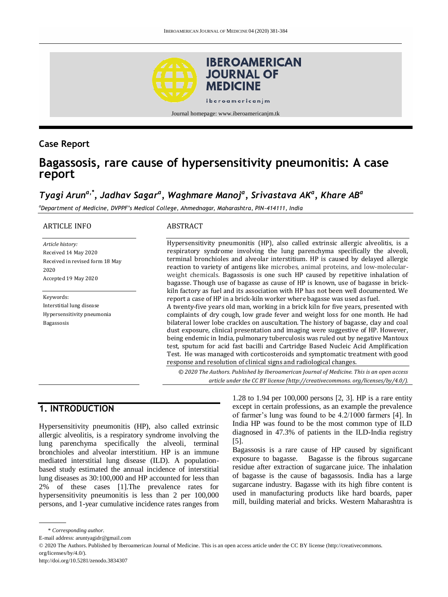

### **Case Report**

# **Bagassosis, rare cause of hypersensitivity pneumonitis: A case report**

# *Tyagi Aruna,\*, Jadhav Sagar<sup>a</sup> , Waghmare Manoj<sup>a</sup> , Srivastava AK<sup>a</sup> , Khare AB<sup>a</sup>*

*<sup>a</sup>Department of Medicine, DVPPF's Medical College, Ahmednagar, Maharashtra, PIN-414111, India*

#### ARTICLE INFO

*Article history:* Received 14 May 2020 Received in revised form 18 May 2020 Accepted 19 May 2020

Keywords: Interstitial lung disease Hypersensitivity pneumonia Bagassosis

#### ABSTRACT

Hypersensitivity pneumonitis (HP), also called extrinsic allergic alveolitis, is a respiratory syndrome involving the lung parenchyma specifically the alveoli, terminal bronchioles and alveolar interstitium. HP is caused by delayed allergic reaction to variety of antigens like microbes, animal proteins, and low-molecularweight chemicals. Bagassosis is one such HP caused by repetitive inhalation of bagasse. Though use of bagasse as cause of HP is known, use of bagasse in brickkiln factory as fuel and its association with HP has not been well documented. We report a case of HP in a brick-kiln worker where bagasse was used as fuel.

A twenty-five years old man, working in a brick kiln for five years, presented with complaints of dry cough, low grade fever and weight loss for one month. He had bilateral lower lobe crackles on auscultation. The history of bagasse, clay and coal dust exposure, clinical presentation and imaging were suggestive of HP. However, being endemic in India, pulmonary tuberculosis was ruled out by negative Mantoux test, sputum for acid fast bacilli and Cartridge Based Nucleic Acid Amplification Test. He was managed with corticosteroids and symptomatic treatment with good response and resolution of clinical signs and radiological changes.

*© 2020 The Authors. Published by Iberoamerican Journal of Medicine. This is an open access article under the CC BY license (http:/[/creativecommons. org/licenses/by/4.0/\)](https://creativecommons.org/licenses/by/4.0/).*

## **1. INTRODUCTION**

Hypersensitivity pneumonitis (HP), also called extrinsic allergic alveolitis, is a respiratory syndrome involving the lung parenchyma specifically the alveoli, terminal bronchioles and alveolar interstitium. HP is an immune mediated interstitial lung disease (ILD). A populationbased study estimated the annual incidence of interstitial lung diseases as 30:100,000 and HP accounted for less than 2% of these cases [1].The prevalence rates for hypersensitivity pneumonitis is less than 2 per 100,000 persons, and 1-year cumulative incidence rates ranges from

1.28 to 1.94 per 100,000 persons [2, 3]. HP is a rare entity except in certain professions, as an example the prevalence of farmer's lung was found to be 4.2/1000 farmers [4]. In India HP was found to be the most common type of ILD diagnosed in 47.3% of patients in the ILD-India registry [5].

Bagassosis is a rare cause of HP caused by significant exposure to bagasse. Bagasse is the fibrous sugarcane residue after extraction of sugarcane juice. The inhalation of bagasse is the cause of bagassosis. India has a large sugarcane industry. Bagasse with its high fibre content is used in manufacturing products like hard boards, paper mill, building material and bricks. Western Maharashtra is

<sup>\*</sup> *Corresponding author.*

E-mail address: aruntyagidr@gmail.com

<sup>© 2020</sup> The Authors. Published by Iberoamerican Journal of Medicine. This is an open access article under the CC BY license (http://creativecommons. org/licenses/by/4.0/).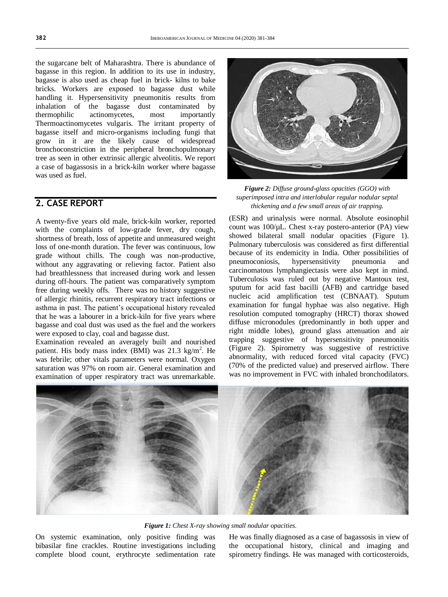the sugarcane belt of Maharashtra. There is abundance of bagasse in this region. In addition to its use in industry, bagasse is also used as cheap fuel in brick- kilns to bake bricks. Workers are exposed to bagasse dust while handling it. Hypersensitivity pneumonitis results from inhalation of the bagasse dust contaminated by thermophilic actinomycetes, most importantly Thermoactinomycetes vulgaris. The irritant property of bagasse itself and micro-organisms including fungi that grow in it are the likely cause of widespread bronchoconstriction in the peripheral bronchopulmonary tree as seen in other extrinsic allergic alveolitis. We report a case of bagassosis in a brick-kiln worker where bagasse was used as fuel.

## **2. CASE REPORT**

A twenty-five years old male, brick-kiln worker, reported with the complaints of low-grade fever, dry cough, shortness of breath, loss of appetite and unmeasured weight loss of one-month duration. The fever was continuous, low grade without chills. The cough was non-productive, without any aggravating or relieving factor. Patient also had breathlessness that increased during work and lessen during off-hours. The patient was comparatively symptom free during weekly offs. There was no history suggestive of allergic rhinitis, recurrent respiratory tract infections or asthma in past. The patient's occupational history revealed that he was a labourer in a brick-kiln for five years where bagasse and coal dust was used as the fuel and the workers were exposed to clay, coal and bagasse dust.

Examination revealed an averagely built and nourished patient. His body mass index  $(BMI)$  was 21.3 kg/m<sup>2</sup>. He was febrile; other vitals parameters were normal. Oxygen saturation was 97% on room air. General examination and examination of upper respiratory tract was unremarkable.



*Figure 2: Diffuse ground-glass opacities (GGO) with superimposed intra and interlobular regular nodular septal thickening and a few small areas of air trapping.*

(ESR) and urinalysis were normal. Absolute eosinophil count was 100/µL. Chest x-ray postero-anterior (PA) view showed bilateral small nodular opacities (Figure 1). Pulmonary tuberculosis was considered as first differential because of its endemicity in India. Other possibilities of pneumoconiosis, hypersensitivity pneumonia and carcinomatous lymphangiectasis were also kept in mind. Tuberculosis was ruled out by negative Mantoux test, sputum for acid fast bacilli (AFB) and cartridge based nucleic acid amplification test (CBNAAT). Sputum examination for fungal hyphae was also negative. High resolution computed tomography (HRCT) thorax showed diffuse micronodules (predominantly in both upper and right middle lobes), ground glass attenuation and air trapping suggestive of hypersensitivity pneumonitis (Figure 2). Spirometry was suggestive of restrictive abnormality, with reduced forced vital capacity (FVC) (70% of the predicted value) and preserved airflow. There was no improvement in FVC with inhaled bronchodilators.



*Figure 1: Chest X-ray showing small nodular opacities.*

On systemic examination, only positive finding was bibasilar fine crackles. Routine investigations including complete blood count, erythrocyte sedimentation rate He was finally diagnosed as a case of bagassosis in view of the occupational history, clinical and imaging and spirometry findings. He was managed with corticosteroids,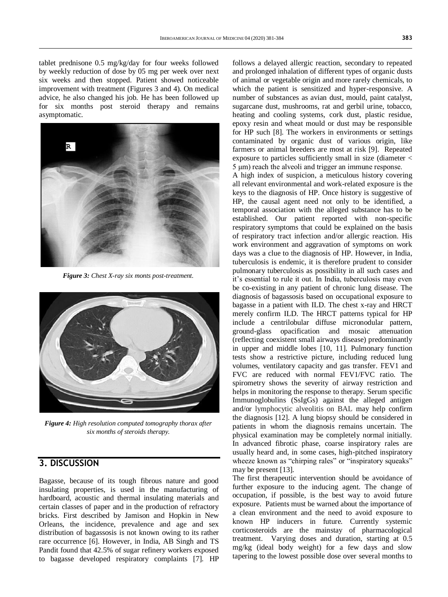tablet prednisone 0.5 mg/kg/day for four weeks followed by weekly reduction of dose by 05 mg per week over next six weeks and then stopped. Patient showed noticeable improvement with treatment (Figures 3 and 4). On medical advice, he also changed his job. He has been followed up for six months post steroid therapy and remains asymptomatic.



*Figure 3: Chest X-ray six monts post-treatment.*



*Figure 4: High resolution computed tomography thorax after six months of steroids therapy.*

### **3. DISCUSSION**

Bagasse, because of its tough fibrous nature and good insulating properties, is used in the manufacturing of hardboard, acoustic and thermal insulating materials and certain classes of paper and in the production of refractory bricks. First described by Jamison and Hopkin in New Orleans, the incidence, prevalence and age and sex distribution of bagassosis is not known owing to its rather rare occurrence [6]. However, in India, AB Singh and TS Pandit found that 42.5% of sugar refinery workers exposed to bagasse developed respiratory complaints [7]. HP

follows a delayed allergic reaction, secondary to repeated and prolonged inhalation of different types of organic dusts of animal or vegetable origin and more rarely chemicals, to which the patient is sensitized and hyper-responsive. A number of substances as avian dust, mould, paint catalyst, sugarcane dust, mushrooms, rat and gerbil urine, tobacco, heating and cooling systems, cork dust, plastic residue, epoxy resin and wheat mould or dust may be responsible for HP such [8]. The workers in environments or settings contaminated by organic dust of various origin, like farmers or animal breeders are most at risk [9]. Repeated exposure to particles sufficiently small in size (diameter < 5 μm) reach the alveoli and trigger an immune response.

A high index of suspicion, a meticulous history covering all relevant environmental and work-related exposure is the keys to the diagnosis of HP. Once history is suggestive of HP, the causal agent need not only to be identified, a temporal association with the alleged substance has to be established. Our patient reported with non-specific respiratory symptoms that could be explained on the basis of respiratory tract infection and/or allergic reaction. His work environment and aggravation of symptoms on work days was a clue to the diagnosis of HP. However, in India, tuberculosis is endemic, it is therefore prudent to consider pulmonary tuberculosis as possibility in all such cases and it's essential to rule it out. In India, tuberculosis may even be co-existing in any patient of chronic lung disease. The diagnosis of bagassosis based on occupational exposure to bagasse in a patient with ILD. The chest x-ray and HRCT merely confirm ILD. The HRCT patterns typical for HP include a centrilobular diffuse micronodular pattern, ground-glass opacification and mosaic attenuation (reflecting coexistent small airways disease) predominantly in upper and middle lobes [10, 11]. Pulmonary function tests show a restrictive picture, including reduced lung volumes, ventilatory capacity and gas transfer. FEV1 and FVC are reduced with normal FEV1/FVC ratio. The spirometry shows the severity of airway restriction and helps in monitoring the response to therapy. Serum specific Immunoglobulins (SsIgGs) against the alleged antigen and/or lymphocytic alveolitis on BAL may help confirm the diagnosis [12]. A lung biopsy should be considered in patients in whom the diagnosis remains uncertain. The physical examination may be completely normal initially. In advanced fibrotic phase, coarse inspiratory rales are usually heard and, in some cases, high-pitched inspiratory wheeze known as "chirping rales" or "inspiratory squeaks" may be present [13].

The first therapeutic intervention should be avoidance of further exposure to the inducing agent. The change of occupation, if possible, is the best way to avoid future exposure. Patients must be warned about the importance of a clean environment and the need to avoid exposure to known HP inducers in future. Currently systemic corticosteroids are the mainstay of pharmacological treatment. Varying doses and duration, starting at 0.5 mg/kg (ideal body weight) for a few days and slow tapering to the lowest possible dose over several months to